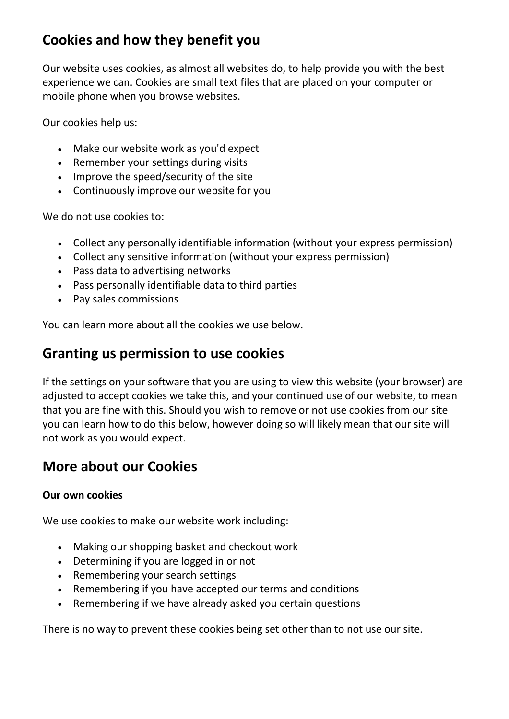# **Cookies and how they benefit you**

Our website uses cookies, as almost all websites do, to help provide you with the best experience we can. Cookies are small text files that are placed on your computer or mobile phone when you browse websites.

Our cookies help us:

- Make our website work as you'd expect
- Remember your settings during visits
- Improve the speed/security of the site
- Continuously improve our website for you

We do not use cookies to:

- Collect any personally identifiable information (without your express permission)
- Collect any sensitive information (without your express permission)
- Pass data to advertising networks
- Pass personally identifiable data to third parties
- Pay sales commissions

You can learn more about all the cookies we use below.

### **Granting us permission to use cookies**

If the settings on your software that you are using to view this website (your browser) are adjusted to accept cookies we take this, and your continued use of our website, to mean that you are fine with this. Should you wish to remove or not use cookies from our site you can learn how to do this below, however doing so will likely mean that our site will not work as you would expect.

## **More about our Cookies**

#### **Our own cookies**

We use cookies to make our website work including:

- Making our shopping basket and checkout work
- Determining if you are logged in or not
- Remembering your search settings
- Remembering if you have accepted our terms and conditions
- Remembering if we have already asked you certain questions

There is no way to prevent these cookies being set other than to not use our site.